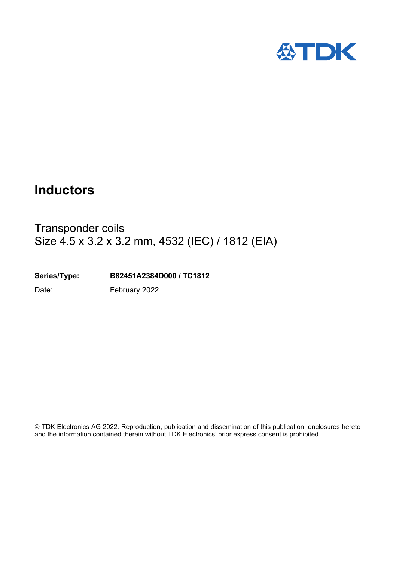

# **Inductors**

# Transponder coils Size 4.5 x 3.2 x 3.2 mm, 4532 (IEC) / 1812 (EIA)

**Series/Type: B82451A2384D000 / TC1812**

Date: February 2022

 TDK Electronics AG 2022. Reproduction, publication and dissemination of this publication, enclosures hereto and the information contained therein without TDK Electronics' prior express consent is prohibited.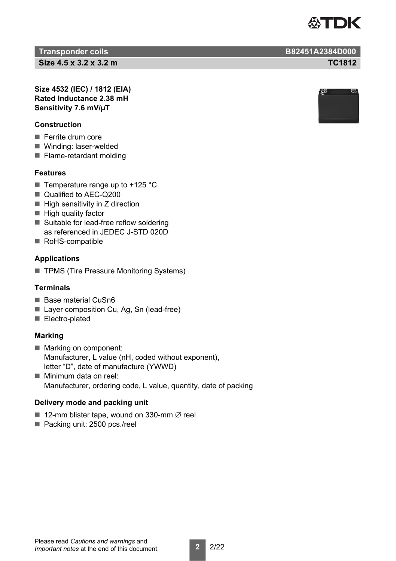

**Transponder coils B82451A2384D000**

**Size 4.5 x 3.2 x 3.2 m TC1812**

**Size 4532 (IEC) / 1812 (EIA) Rated Inductance 2.38 mH Sensitivity 7.6 mV/µT**

### **Construction**

- Ferrite drum core
- Winding: laser-welded
- Flame-retardant molding

## **Features**

- $\blacksquare$  Temperature range up to +125 °C
- Qualified to AFC-Q200
- $\blacksquare$  High sensitivity in Z direction
- $\blacksquare$  High quality factor
- Suitable for lead-free reflow soldering as referenced in JEDEC J-STD 020D
- RoHS-compatible

## **Applications**

■ TPMS (Tire Pressure Monitoring Systems)

### **Terminals**

- Base material CuSn6
- Layer composition Cu, Ag, Sn (lead-free)
- Electro-plated

### **Marking**

- Marking on component: Manufacturer, L value (nH, coded without exponent), letter "D", date of manufacture (YWWD)
- Minimum data on reel: Manufacturer, ordering code, L value, quantity, date of packing

## **Delivery mode and packing unit**

- 12-mm blister tape, wound on 330-mm  $\varnothing$  reel
- Packing unit: 2500 pcs./reel



Please read *Cautions and warnings* and *Important notes* at the end of this document.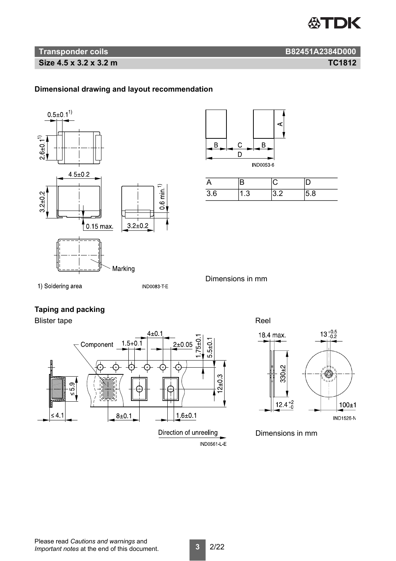

# **Transponder coils B82451A2384D000**

**Size 4.5 x 3.2 x 3.2 m TC1812**

# **Dimensional drawing and layout recommendation**





| ,        |                      |        |
|----------|----------------------|--------|
| 26<br>., | $\ddot{\phantom{0}}$ | о<br>◡ |

1) Soldering area

**IND0083-T-E** 

Dimensions in mm

# **Taping and packing**

Blister tape **Reel** 





Dimensions in mm

Please read *Cautions and warnings* and *Important notes* at the end of this document.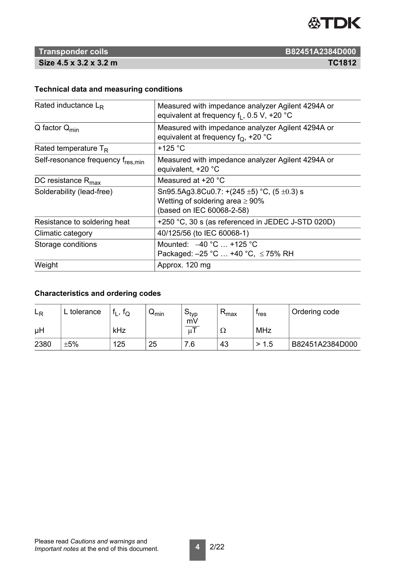

# **Technical data and measuring conditions**

| Rated inductance $L_{\rm R}$       | Measured with impedance analyzer Agilent 4294A or<br>equivalent at frequency $f_1$ , 0.5 V, +20 °C                         |  |  |
|------------------------------------|----------------------------------------------------------------------------------------------------------------------------|--|--|
| $Q$ factor $Q_{min}$               | Measured with impedance analyzer Agilent 4294A or<br>equivalent at frequency $f_Q$ , +20 °C                                |  |  |
| Rated temperature $T_R$            | +125 $^{\circ}$ C                                                                                                          |  |  |
| Self-resonance frequency fres, min | Measured with impedance analyzer Agilent 4294A or<br>equivalent, +20 °C                                                    |  |  |
| DC resistance $R_{\text{max}}$     | Measured at +20 °C                                                                                                         |  |  |
| Solderability (lead-free)          | Sn95.5Ag3.8Cu0.7: $+(245 \pm 5)$ °C, (5 $\pm$ 0.3) s<br>Wetting of soldering area $\geq 90\%$<br>(based on IEC 60068-2-58) |  |  |
| Resistance to soldering heat       | +250 °C, 30 s (as referenced in JEDEC J-STD 020D)                                                                          |  |  |
| Climatic category                  | 40/125/56 (to IEC 60068-1)                                                                                                 |  |  |
| Storage conditions                 | Mounted: $-40 °C$ +125 °C<br>Packaged: -25 °C  +40 °C, ≤75% RH                                                             |  |  |
| Weight                             | Approx. 120 mg                                                                                                             |  |  |

# **Characteristics and ordering codes**

| ∟R   | L tolerance | ΙQ  | $\mathsf{w}_{\mathsf{min}}$ | ⊃tvp<br>mV | <b>I</b> max | <sup></sup> res | Ordering code   |
|------|-------------|-----|-----------------------------|------------|--------------|-----------------|-----------------|
| μH   |             | kHz |                             | uΙ         | 77           | MHz             |                 |
| 2380 | $+5%$       | 125 | 25                          | 7.6        | 43           | > 1.5           | B82451A2384D000 |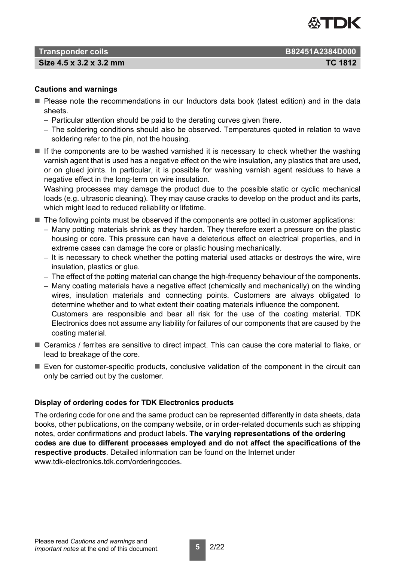

**Size 4.5 x 3.2 x 3.2 mm TC 1812**

### **Cautions and warnings**

- **Please note the recommendations in our Inductors data book (latest edition) and in the data** sheets.
	- Particular attention should be paid to the derating curves given there.
	- The soldering conditions should also be observed. Temperatures quoted in relation to wave soldering refer to the pin, not the housing.
- $\blacksquare$  If the components are to be washed varnished it is necessary to check whether the washing varnish agent that is used has a negative effect on the wire insulation, any plastics that are used, or on glued joints. In particular, it is possible for washing varnish agent residues to have a negative effect in the long-term on wire insulation.

Washing processes may damage the product due to the possible static or cyclic mechanical loads (e.g. ultrasonic cleaning). They may cause cracks to develop on the product and its parts, which might lead to reduced reliability or lifetime.

- $\blacksquare$  The following points must be observed if the components are potted in customer applications:
	- Many potting materials shrink as they harden. They therefore exert a pressure on the plastic housing or core. This pressure can have a deleterious effect on electrical properties, and in extreme cases can damage the core or plastic housing mechanically.
	- It is necessary to check whether the potting material used attacks or destroys the wire, wire insulation, plastics or glue.
	- The effect of the potting material can change the high-frequency behaviour of the components.
	- Many coating materials have a negative effect (chemically and mechanically) on the winding wires, insulation materials and connecting points. Customers are always obligated to determine whether and to what extent their coating materials influence the component. Customers are responsible and bear all risk for the use of the coating material. TDK Electronics does not assume any liability for failures of our components that are caused by the coating material.
- Ceramics / ferrites are sensitive to direct impact. This can cause the core material to flake, or lead to breakage of the core.
- $\blacksquare$  Even for customer-specific products, conclusive validation of the component in the circuit can only be carried out by the customer.

### **Display of ordering codes for TDK Electronics products**

The ordering code for one and the same product can be represented differently in data sheets, data books, other publications, on the company website, or in order-related documents such as shipping notes, order confirmations and product labels. **The varying representations of the ordering codes are due to different processes employed and do not affect the specifications of the respective products**. Detailed information can be found on the Internet under www.tdk-electronics.tdk.com/orderingcodes.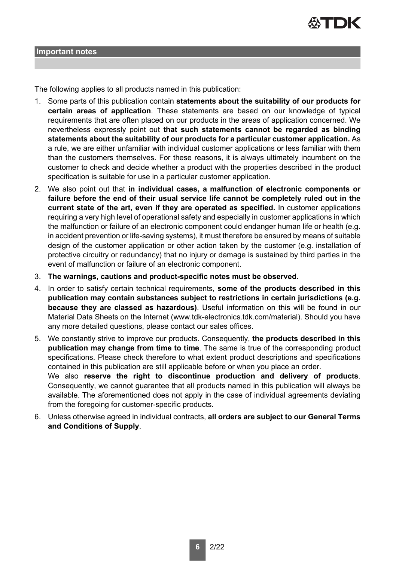

#### **Important notes**

The following applies to all products named in this publication:

- 1. Some parts of this publication contain **statements about the suitability of our products for certain areas of application**. These statements are based on our knowledge of typical requirements that are often placed on our products in the areas of application concerned. We nevertheless expressly point out **that such statements cannot be regarded as binding statements about the suitability of our products for a particular customer application.** As a rule, we are either unfamiliar with individual customer applications or less familiar with them than the customers themselves. For these reasons, it is always ultimately incumbent on the customer to check and decide whether a product with the properties described in the product specification is suitable for use in a particular customer application.
- 2. We also point out that **in individual cases, a malfunction of electronic components or failure before the end of their usual service life cannot be completely ruled out in the current state of the art, even if they are operated as specified.** In customer applications requiring a very high level of operational safety and especially in customer applications in which the malfunction or failure of an electronic component could endanger human life or health (e.g. in accident prevention or life-saving systems), it must therefore be ensured by means of suitable design of the customer application or other action taken by the customer (e.g. installation of protective circuitry or redundancy) that no injury or damage is sustained by third parties in the event of malfunction or failure of an electronic component.
- 3. **The warnings, cautions and product-specific notes must be observed**.
- 4. In order to satisfy certain technical requirements, **some of the products described in this publication may contain substances subject to restrictions in certain jurisdictions (e.g. because they are classed as hazardous)**. Useful information on this will be found in our Material Data Sheets on the Internet (www.tdk-electronics.tdk.com/material). Should you have any more detailed questions, please contact our sales offices.
- 5. We constantly strive to improve our products. Consequently, **the products described in this publication may change from time to time**. The same is true of the corresponding product specifications. Please check therefore to what extent product descriptions and specifications contained in this publication are still applicable before or when you place an order. We also **reserve the right to discontinue production and delivery of products**. Consequently, we cannot guarantee that all products named in this publication will always be available. The aforementioned does not apply in the case of individual agreements deviating
- from the foregoing for customer-specific products. 6. Unless otherwise agreed in individual contracts, **all orders are subject to our General Terms and Conditions of Supply**.